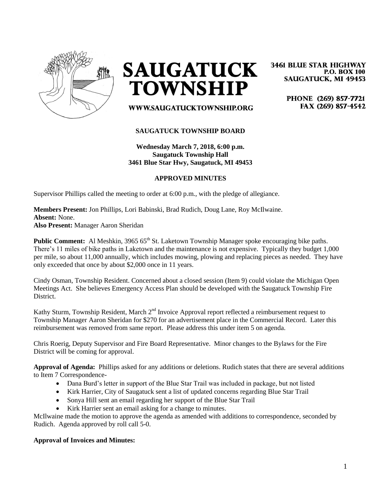

**SAUGATUCK TOWNSHIP** 

# WWW.SAUGATUCKTOWNSHIP.ORG

## **SAUGATUCK TOWNSHIP BOARD**

**Wednesday March 7, 2018, 6:00 p.m. Saugatuck Township Hall 3461 Blue Star Hwy, Saugatuck, MI 49453**

#### **APPROVED MINUTES**

Supervisor Phillips called the meeting to order at 6:00 p.m., with the pledge of allegiance.

**Members Present:** Jon Phillips, Lori Babinski, Brad Rudich, Doug Lane, Roy McIlwaine. **Absent:** None. **Also Present:** Manager Aaron Sheridan

**Public Comment:** Al Meshkin, 3965 65<sup>th</sup> St. Laketown Township Manager spoke encouraging bike paths. There's 11 miles of bike paths in Laketown and the maintenance is not expensive. Typically they budget 1,000 per mile, so about 11,000 annually, which includes mowing, plowing and replacing pieces as needed. They have only exceeded that once by about \$2,000 once in 11 years.

Cindy Osman, Township Resident. Concerned about a closed session (Item 9) could violate the Michigan Open Meetings Act. She believes Emergency Access Plan should be developed with the Saugatuck Township Fire District.

Kathy Sturm, Township Resident, March 2<sup>nd</sup> Invoice Approval report reflected a reimbursement request to Township Manager Aaron Sheridan for \$270 for an advertisement place in the Commercial Record. Later this reimbursement was removed from same report. Please address this under item 5 on agenda.

Chris Roerig, Deputy Supervisor and Fire Board Representative. Minor changes to the Bylaws for the Fire District will be coming for approval.

**Approval of Agenda:** Phillips asked for any additions or deletions. Rudich states that there are several additions to Item 7 Correspondence-

- Dana Burd's letter in support of the Blue Star Trail was included in package, but not listed
- Kirk Harrier, City of Saugatuck sent a list of updated concerns regarding Blue Star Trail
- Sonya Hill sent an email regarding her support of the Blue Star Trail
- Kirk Harrier sent an email asking for a change to minutes.

McIlwaine made the motion to approve the agenda as amended with additions to correspondence, seconded by Rudich. Agenda approved by roll call 5-0.

#### **Approval of Invoices and Minutes:**

**3461 BLUE STAR HIGHWAY P.O. BOX 100 SAUGATUCK, MI 49453** 

> PHONE (269) 857-7721 FAX (269) 857-4542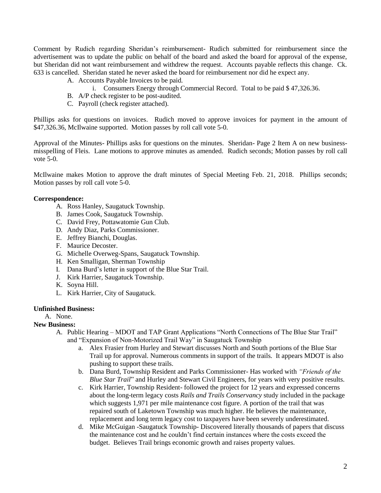Comment by Rudich regarding Sheridan's reimbursement- Rudich submitted for reimbursement since the advertisement was to update the public on behalf of the board and asked the board for approval of the expense, but Sheridan did not want reimbursement and withdrew the request. Accounts payable reflects this change. Ck. 633 is cancelled. Sheridan stated he never asked the board for reimbursement nor did he expect any.

- A. Accounts Payable Invoices to be paid.
	- i. Consumers Energy through Commercial Record. Total to be paid \$ 47,326.36.
- B. A/P check register to be post-audited.
- C. Payroll (check register attached).

Phillips asks for questions on invoices. Rudich moved to approve invoices for payment in the amount of \$47,326.36, McIlwaine supported. Motion passes by roll call vote 5-0.

Approval of the Minutes- Phillips asks for questions on the minutes. Sheridan- Page 2 Item A on new businessmisspelling of Fleis. Lane motions to approve minutes as amended. Rudich seconds; Motion passes by roll call vote 5-0.

McIlwaine makes Motion to approve the draft minutes of Special Meeting Feb. 21, 2018. Phillips seconds; Motion passes by roll call vote 5-0.

## **Correspondence:**

- A. Ross Hanley, Saugatuck Township.
- B. James Cook, Saugatuck Township.
- C. David Frey, Pottawatomie Gun Club.
- D. Andy Diaz, Parks Commissioner.
- E. Jeffrey Bianchi, Douglas.
- F. Maurice Decoster.
- G. Michelle Overweg-Spans, Saugatuck Township.
- H. Ken Smalligan, Sherman Township
- I. Dana Burd's letter in support of the Blue Star Trail.
- J. Kirk Harrier, Saugatuck Township.
- K. Soyna Hill.
- L. Kirk Harrier, City of Saugatuck.

#### **Unfinished Business:**

A. None.

## **New Business:**

- A. Public Hearing MDOT and TAP Grant Applications "North Connections of The Blue Star Trail" and "Expansion of Non-Motorized Trail Way" in Saugatuck Township
	- a. Alex Frasier from Hurley and Stewart discusses North and South portions of the Blue Star Trail up for approval. Numerous comments in support of the trails. It appears MDOT is also pushing to support these trails.
	- b. Dana Burd, Township Resident and Parks Commissioner- Has worked with *"Friends of the Blue Star Trail*" and Hurley and Stewart Civil Engineers, for years with very positive results.
	- c. Kirk Harrier, Township Resident- followed the project for 12 years and expressed concerns about the long-term legacy costs *Rails and Trails Conservancy* study included in the package which suggests 1,971 per mile maintenance cost figure. A portion of the trail that was repaired south of Laketown Township was much higher. He believes the maintenance, replacement and long term legacy cost to taxpayers have been severely underestimated.
	- d. Mike McGuigan -Saugatuck Township- Discovered literally thousands of papers that discuss the maintenance cost and he couldn't find certain instances where the costs exceed the budget. Believes Trail brings economic growth and raises property values.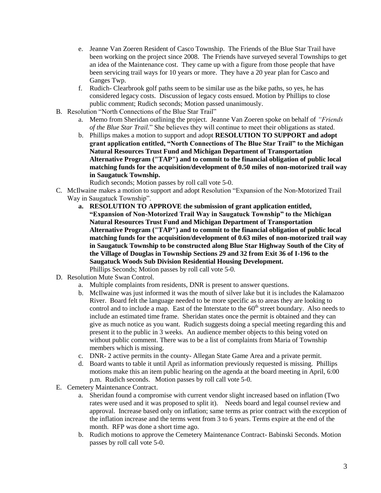- e. Jeanne Van Zoeren Resident of Casco Township. The Friends of the Blue Star Trail have been working on the project since 2008. The Friends have surveyed several Townships to get an idea of the Maintenance cost. They came up with a figure from those people that have been servicing trail ways for 10 years or more. They have a 20 year plan for Casco and Ganges Twp.
- f. Rudich- Clearbrook golf paths seem to be similar use as the bike paths, so yes, he has considered legacy costs. Discussion of legacy costs ensued. Motion by Phillips to close public comment; Rudich seconds; Motion passed unanimously.
- B. Resolution "North Connections of the Blue Star Trail"
	- a. Memo from Sheridan outlining the project. Jeanne Van Zoeren spoke on behalf of *"Friends of the Blue Star Trail.*" She believes they will continue to meet their obligations as stated.
	- b. Phillips makes a motion to support and adopt **RESOLUTION TO SUPPORT and adopt grant application entitled, "North Connections of The Blue Star Trail" to the Michigan Natural Resources Trust Fund and Michigan Department of Transportation Alternative Program ("TAP") and to commit to the financial obligation of public local matching funds for the acquisition/development of 0.50 miles of non-motorized trail way in Saugatuck Township.**

Rudich seconds; Motion passes by roll call vote 5-0.

- C. McIlwaine makes a motion to support and adopt Resolution "Expansion of the Non-Motorized Trail Way in Saugatuck Township".
	- **a. RESOLUTION TO APPROVE the submission of grant application entitled, "Expansion of Non-Motorized Trail Way in Saugatuck Township" to the Michigan Natural Resources Trust Fund and Michigan Department of Transportation Alternative Program ("TAP") and to commit to the financial obligation of public local matching funds for the acquisition/development of 0.63 miles of non-motorized trail way in Saugatuck Township to be constructed along Blue Star Highway South of the City of the Village of Douglas in Township Sections 29 and 32 from Exit 36 of I-196 to the Saugatuck Woods Sub Division Residential Housing Development.** Phillips Seconds; Motion passes by roll call vote 5-0.
- D. Resolution Mute Swan Control.
	- a. Multiple complaints from residents, DNR is present to answer questions.
	- b. McIlwaine was just informed it was the mouth of silver lake but it is includes the Kalamazoo River. Board felt the language needed to be more specific as to areas they are looking to control and to include a map. East of the Interstate to the  $60<sup>th</sup>$  street boundary. Also needs to include an estimated time frame. Sheridan states once the permit is obtained and they can give as much notice as you want. Rudich suggests doing a special meeting regarding this and present it to the public in 3 weeks. An audience member objects to this being voted on without public comment. There was to be a list of complaints from Maria of Township members which is missing.
	- c. DNR- 2 active permits in the county- Allegan State Game Area and a private permit.
	- d. Board wants to table it until April as information previously requested is missing. Phillips motions make this an item public hearing on the agenda at the board meeting in April, 6:00 p.m. Rudich seconds. Motion passes by roll call vote 5-0.
- E. Cemetery Maintenance Contract.
	- a. Sheridan found a compromise with current vendor slight increased based on inflation (Two rates were used and it was proposed to split it). Needs board and legal counsel review and approval. Increase based only on inflation; same terms as prior contract with the exception of the inflation increase and the terms went from 3 to 6 years. Terms expire at the end of the month. RFP was done a short time ago.
	- b. Rudich motions to approve the Cemetery Maintenance Contract- Babinski Seconds. Motion passes by roll call vote 5-0.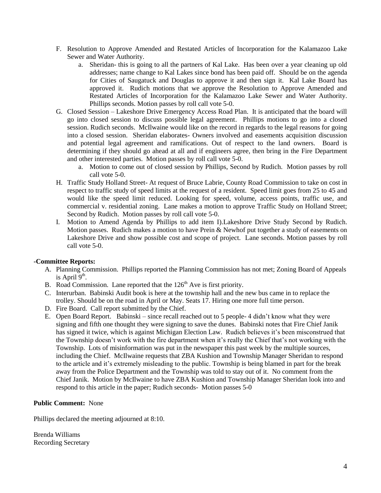- F. Resolution to Approve Amended and Restated Articles of Incorporation for the Kalamazoo Lake Sewer and Water Authority.
	- a. Sheridan- this is going to all the partners of Kal Lake. Has been over a year cleaning up old addresses; name change to Kal Lakes since bond has been paid off. Should be on the agenda for Cities of Saugatuck and Douglas to approve it and then sign it. Kal Lake Board has approved it. Rudich motions that we approve the Resolution to Approve Amended and Restated Articles of Incorporation for the Kalamazoo Lake Sewer and Water Authority. Phillips seconds. Motion passes by roll call vote 5-0.
- G. Closed Session Lakeshore Drive Emergency Access Road Plan. It is anticipated that the board will go into closed session to discuss possible legal agreement. Phillips motions to go into a closed session. Rudich seconds. McIlwaine would like on the record in regards to the legal reasons for going into a closed session. Sheridan elaborates- Owners involved and easements acquisition discussion and potential legal agreement and ramifications. Out of respect to the land owners. Board is determining if they should go ahead at all and if engineers agree, then bring in the Fire Department and other interested parties. Motion passes by roll call vote 5-0.
	- a. Motion to come out of closed session by Phillips, Second by Rudich. Motion passes by roll call vote 5-0.
- H. Traffic Study Holland Street- At request of Bruce Labrie, County Road Commission to take on cost in respect to traffic study of speed limits at the request of a resident. Speed limit goes from 25 to 45 and would like the speed limit reduced. Looking for speed, volume, access points, traffic use, and commercial v. residential zoning. Lane makes a motion to approve Traffic Study on Holland Street; Second by Rudich. Motion passes by roll call vote 5-0.
- I. Motion to Amend Agenda by Phillips to add item I).Lakeshore Drive Study Second by Rudich. Motion passes. Rudich makes a motion to have Prein & Newhof put together a study of easements on Lakeshore Drive and show possible cost and scope of project. Lane seconds. Motion passes by roll call vote 5-0.

## **-Committee Reports:**

- A. Planning Commission. Phillips reported the Planning Commission has not met; Zoning Board of Appeals is April  $9<sup>th</sup>$ .
- B. Road Commission. Lane reported that the  $126<sup>th</sup>$  Ave is first priority.
- C. Interurban. Babinski Audit book is here at the township hall and the new bus came in to replace the trolley. Should be on the road in April or May. Seats 17. Hiring one more full time person.
- D. Fire Board. Call report submitted by the Chief.
- E. Open Board Report. Babinski since recall reached out to 5 people- 4 didn't know what they were signing and fifth one thought they were signing to save the dunes. Babinski notes that Fire Chief Janik has signed it twice, which is against Michigan Election Law. Rudich believes it's been misconstrued that the Township doesn't work with the fire department when it's really the Chief that's not working with the Township. Lots of misinformation was put in the newspaper this past week by the multiple sources, including the Chief. McIlwaine requests that ZBA Kushion and Township Manager Sheridan to respond to the article and it's extremely misleading to the public. Township is being blamed in part for the break away from the Police Department and the Township was told to stay out of it. No comment from the Chief Janik. Motion by McIlwaine to have ZBA Kushion and Township Manager Sheridan look into and respond to this article in the paper; Rudich seconds- Motion passes 5-0

## **Public Comment:** None

Phillips declared the meeting adjourned at 8:10.

Brenda Williams Recording Secretary